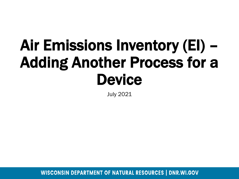# Air Emissions Inventory (EI) – Adding Another Process for a **Device**

July 2021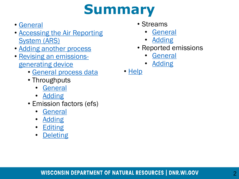#### **Summary**

- [General](#page-2-0)
- [Accessing the Air Reporting](#page-3-0)  System (ARS)
- [Adding another process](#page-4-0)
- [Revising an emissions](#page-8-0)generating device
	- [General process data](#page-6-0)
	- Throughputs
		- [General](#page-9-0)
		- [Adding](#page-10-0)
	- Emission factors (efs)
		- [General](#page-11-0)
		- [Adding](#page-13-0)
		- [Editing](#page-15-0)
		- [Deleting](#page-17-0)
- Streams
	- **[General](#page-19-0)**
	- [Adding](#page-20-0)
- Reported emissions
	- [General](#page-21-0)
	- [Adding](#page-23-0)
- [Help](#page-24-0)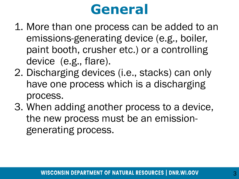#### **General**

- <span id="page-2-0"></span>1. More than one process can be added to an emissions-generating device (e.g., boiler, paint booth, crusher etc.) or a controlling device (e.g., flare).
- 2. Discharging devices (i.e., stacks) can only have one process which is a discharging process.
- 3. When adding another process to a device, the new process must be an emissiongenerating process.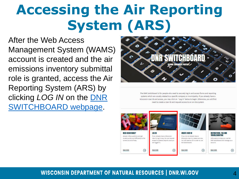### <span id="page-3-0"></span>**Accessing the Air Reporting System (ARS)**

After the Web Access Management System (WAMS) account is created and the air emissions inventory submittal role is granted, access the Air Reporting System (ARS) by clicking *LOG IN* on the DNR [SWITCHBOARD webpage.](https://dnr.wisconsin.gov/topic/Switchboard)



The DNR Switchboard is for people who need to securely log in and access forms and reporting systems which are usually related to a specific company or municipality. If you already have a Wisconsin User ID and access, you may click on "Log in" below to begin. Otherwise, you will first need to create a User ID and request access to an on-line system.

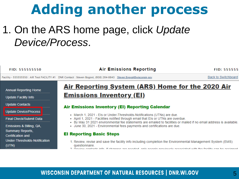#### **Adding another process**

#### <span id="page-4-0"></span>1. On the ARS home page, click *Update Device/Process*.

| <b>FID: 555555550</b>                                                           | <b>Air Emissions Reporting</b>                                                                                                                                                                                                                                                     | FID: 55555                 |
|---------------------------------------------------------------------------------|------------------------------------------------------------------------------------------------------------------------------------------------------------------------------------------------------------------------------------------------------------------------------------|----------------------------|
|                                                                                 | Facility - 555555550 : AIR Test FACILITY #1 DNR Contact : Steven Bogost, (608) 264-8843 Steven.Bogost@wisconsin.gov                                                                                                                                                                | <b>Back to Switchboard</b> |
| <b>Annual Reporting Home</b><br>Update Facility Info                            | <u>Air Reporting System (ARS) Home for the 2020 Air</u><br><b>Emissions Inventory (EI)</b>                                                                                                                                                                                         |                            |
| <b>Update Contacts</b>                                                          | <b>Air Emissions Inventory (EI) Reporting Calendar</b>                                                                                                                                                                                                                             |                            |
| Update Device/Process<br><b>Final Check/Submit Data</b>                         | • March 1, 2021 - Els or Under-Thresholds-Notifications (UTNs) are due.<br>• April 1, 2021 - Facilities notified through email that Els or UTNs are overdue.<br>• By May 31 2021 environmental fee statements are emailed to facilities or mailed if no email address is available |                            |
| Emissions & Billing, QA,<br><b>Summary Reports,</b><br><b>Certification and</b> | - June 30, 2021 - Environmental fees payments and certifications are due.<br><b>El Reporting Basic Steps</b>                                                                                                                                                                       |                            |
| Under-Thresholds-Notification<br>(UTN)                                          | 1. Review, revise and save the facility info including completion the Environmental Management System (EMS)<br>questionnaire.                                                                                                                                                      |                            |

Doview contacts info. If changes are needed, only needed proviously associated with the facility can be assigned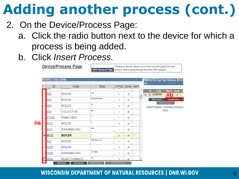- 2. On the Device/Process Page:
	- a. Click the radio button next to the device for which a process is being added.
	- b. Click *Insert Process.*

**Device/Process Page** 

Clicking on this link allows you to enter your throughput for each ARS Shortcut Page process without going through the entire ARS program.

|    | <b>DEVICE List: (194)</b>             |                                            |                      |                           |      |      | <b>PROCESS List for Device B112</b>                                                          |
|----|---------------------------------------|--------------------------------------------|----------------------|---------------------------|------|------|----------------------------------------------------------------------------------------------|
|    | ID<br>$\overline{u}$ v $\overline{u}$ | Code<br><b>UVILLIA</b>                     | <b>Desc</b>          | $#$ Pros                  | Done | Del? | (1)                                                                                          |
|    | Ω<br><b>B02</b>                       | <b>BOILER</b>                              | bob                  | 2<br>ħ                    | √    | ▲    | Code<br><b>Name</b><br>ID<br><b>Done</b><br>Ð<br>#<br>01<br><b>GENERIC</b><br>$\bullet$<br>√ |
|    | <b>B03</b>                            | <b>BOILER</b>                              | SN 523864156         | 3<br>h                    | √    |      | <b>Edit Process</b><br><b>Insert Process</b>                                                 |
|    | <b>B04</b>                            | <b>BOILER</b>                              | kk                   | 2<br>h,                   | √    |      | <b>Delete Process</b><br>Global Updates: (Schedule & Reporte                                 |
|    | <b>B05</b>                            | <b>COLLECTOR</b>                           | test                 | h,                        | √    |      | Emis)                                                                                        |
|    | <b>B1000</b>                          | TANK, FIXED                                | 1                    | 1<br>h,                   | √    |      |                                                                                              |
| #a | <b>B101</b>                           | <b>BOILER</b>                              | d                    | 3<br>h                    | √    |      |                                                                                              |
|    | <b>B111</b>                           | <b>ASHHANDLING</b>                         | ddd                  | 1<br>h,                   | √    |      |                                                                                              |
|    | $\bullet$<br><b>B112</b>              | <b>BOILER</b>                              | $\mathbf v$          | 1<br>4                    | √    |      |                                                                                              |
|    | <b>B22</b><br>∩                       | <b>BOILER</b>                              | SRB Boiler 22        | h,                        | √    |      |                                                                                              |
|    | <b>B</b> 345<br>$\bigcirc$            | <b>BOILER</b>                              |                      | 0<br>h,                   | √    |      |                                                                                              |
|    | <b>B555</b><br>$\bigcirc$             | <b>ASHHANDLING</b>                         | SN 4564              | ħ                         | √    |      |                                                                                              |
|    | ⋷<br><b>B66x</b>                      | <b>BLAST FURNACE</b>                       | SN                   | 3                         | √    | ۰    |                                                                                              |
|    |                                       | <b>Edit Device</b><br><b>Insert Device</b> | <b>Delete Device</b> | <b>Control Efficiency</b> |      |      |                                                                                              |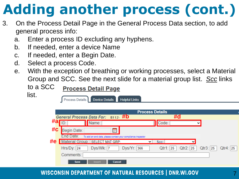- <span id="page-6-0"></span>3. On the Process Detail Page in the General Process Data section, to add general process info:
	- a. Enter a process ID excluding any hyphens.
	- b. If needed, enter a device Name
	- c. If needed, enter a Begin Date.
	- d. Select a process Code.
	- e. With the exception of breathing or working processes, select a Material Group and SCC. See the next slide for a material group list. *Scc* links

to a SCC list.

#### **Process Detail Page**

Process Details | | Device Details **Helpful Links** 

|    | <b>Process Details</b>                                                                                           |
|----|------------------------------------------------------------------------------------------------------------------|
|    | $B112 - Hb$<br>#d<br><b>General Process Data For:</b>                                                            |
| #a | Code:<br>Name:<br>$\check{ }$                                                                                    |
| #c | Begin Date:<br>賱                                                                                                 |
|    | End Date:<br>To add an end date, please contact your compliance inspector                                        |
| #e | Material Group: SELECT MAT GRP:<br>Scc:<br>$\checkmark$                                                          |
|    | $Hrs/Dy$ : 24<br>Dys/Wk:  7<br>$Dys/Yr$ :<br>Qtr3:<br>Qtr4:  25<br>$Qtr1$ :<br>$Qtr2$ :<br>366<br>25<br>25<br>25 |
|    | Comments:                                                                                                        |
|    | <b>Insert</b><br><b>Save</b><br><b>Cancel</b>                                                                    |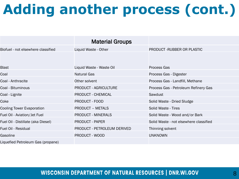|                                    | <b>Material Groups</b>       |                                        |
|------------------------------------|------------------------------|----------------------------------------|
| Biofuel - not elsewhere classified | Liquid Waste - Other         | PRODUCT-RUBBER OR PLASTIC              |
| <b>Blast</b>                       | Liquid Waste - Waste Oil     | <b>Process Gas</b>                     |
| Coal                               | <b>Natural Gas</b>           | Process Gas - Digester                 |
| Coal - Anthracite                  | Other solvent                | Process Gas - Landfill, Methane        |
| Coal - Bituminous                  | <b>PRODUCT - AGRICULTURE</b> | Process Gas - Petroleum Refinery Gas   |
| Coal - Lignite                     | <b>PRODUCT - CHEMICAL</b>    | Sawdust                                |
| Coke                               | <b>PRODUCT - FOOD</b>        | Solid Waste - Dried Sludge             |
| <b>Cooling Tower Evaporation</b>   | <b>PRODUCT - METALS</b>      | Solid Waste - Tires                    |
| Fuel Oil - Aviation/Jet Fuel       | <b>PRODUCT - MINERALS</b>    | Solid Waste - Wood and/or Bark         |
| Fuel Oil - Distillate (aka Diesel) | <b>PRODUCT - PAPER</b>       | Solid Waste - not elsewhere classified |
| Fuel Oil - Residual                | PRODUCT - PETROLEUM DERIVED  | Thinning solvent                       |
| Gasoline                           | PRODUCT - WOOD               | <b>UNKNOWN</b>                         |
| Liquefied Petroleum Gas (propane)  |                              |                                        |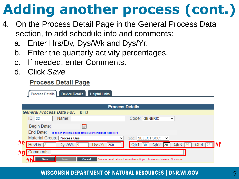- <span id="page-8-0"></span>4. On the Process Detail Page in the General Process Data section, to add schedule info and comments:
	- a. Enter Hrs/Dy, Dys/Wk and Dys/Yr.
	- b. Enter the quarterly activity percentages.
	- c. If needed, enter Comments.
	- d. Click *Save*

#### **Process Detail Page**

|    | Device Details<br><b>Helpful Links</b><br>Process Details                                                                      |  |  |  |  |  |  |  |  |  |  |
|----|--------------------------------------------------------------------------------------------------------------------------------|--|--|--|--|--|--|--|--|--|--|
|    |                                                                                                                                |  |  |  |  |  |  |  |  |  |  |
|    | <b>Process Details</b>                                                                                                         |  |  |  |  |  |  |  |  |  |  |
|    | General Process Data For: B112-                                                                                                |  |  |  |  |  |  |  |  |  |  |
|    | ID: 22<br>Code: GENERIC<br>Name:<br>$\checkmark$                                                                               |  |  |  |  |  |  |  |  |  |  |
|    | Begin Date:<br>y.                                                                                                              |  |  |  |  |  |  |  |  |  |  |
|    | End Date:<br>To add an end date, please contact your compliance inspector (                                                    |  |  |  |  |  |  |  |  |  |  |
|    | Material Group: Process Gas<br>Scc: SELECT SCC:<br>$\checkmark$<br>v                                                           |  |  |  |  |  |  |  |  |  |  |
| #e | l#f<br>Hrs/Dy: 8<br>Qtr3: 25<br>Dys/Wk: 5<br>Dys/Yr: 260<br>Qtr2: 20<br>Qtr4: 25<br>Qtr1:30                                    |  |  |  |  |  |  |  |  |  |  |
| #g | Comments:                                                                                                                      |  |  |  |  |  |  |  |  |  |  |
|    | Process detail tabs not accesible until you choose and save an Scc code<br><b>Insert</b><br><b>Cancel</b><br><b>Save</b><br>#h |  |  |  |  |  |  |  |  |  |  |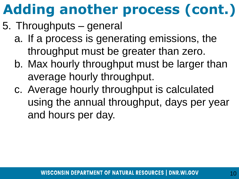- <span id="page-9-0"></span>5. Throughputs – general
	- a. If a process is generating emissions, the throughput must be greater than zero.
	- b. Max hourly throughput must be larger than average hourly throughput.
	- c. Average hourly throughput is calculated using the annual throughput, days per year and hours per day.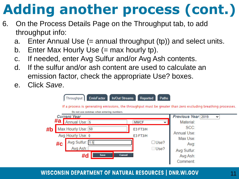- <span id="page-10-0"></span>6. On the Process Details Page on the Throughput tab, to add throughput info:
	- a. Enter Annual Use (= annual throughput (tp)) and select units.
	- b. Enter Max Hourly Use  $(=\max$  hourly tp).
	- c. If needed, enter Avg Sulfur and/or Avg Ash contents.
	- d. If the sulfur and/or ash content are used to calculate an emission factor, check the appropriate Use? boxes.
	- e. Click *Save*.

|    |       | <b>In/Out Streams</b><br>Throughput<br><b>EmisFactor</b>                                                                                                  | Reported             | <b>Paths</b>         |                                        |              |
|----|-------|-----------------------------------------------------------------------------------------------------------------------------------------------------------|----------------------|----------------------|----------------------------------------|--------------|
|    |       | If a process is generating emissions, the throughput must be greater than zero excluding breathing processes.<br>Do not use commas when entering numbers. |                      |                      |                                        |              |
|    | # $a$ | <b>Current Year</b><br>Annual Use: 5                                                                                                                      | <b>MMCF</b>          | $\checkmark$         | <b>Previous Year 2019</b><br>Material: | $\checkmark$ |
| #b |       | Max Hourly Use: 50<br>Avg Hourly Use: 0                                                                                                                   | E3 FT3/H<br>E3 FT3/H |                      | SCC:<br>Annual Use:                    |              |
|    | #c    | Avg Sulfur: 1.5<br>Avg Ash:                                                                                                                               |                      | $\Box$ Use?<br>□Use? | Max Use:<br>Avg:<br>Avg Sulfur:        |              |
|    |       | #d<br><b>Cancel</b><br><b>Save</b>                                                                                                                        |                      |                      | Avg Ash:<br>Comment:                   |              |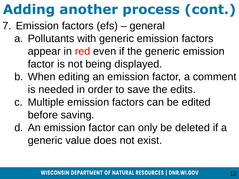- <span id="page-11-0"></span>7. Emission factors (efs) – general
	- a. Pollutants with generic emission factors appear in red even if the generic emission factor is not being displayed.
	- b. When editing an emission factor, a comment is needed in order to save the edits.
	- c. Multiple emission factors can be edited before saving.
	- d. An emission factor can only be deleted if a generic value does not exist.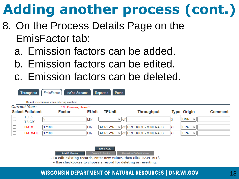- 8. On the Process Details Page on the EmisFactor tab:
	- a. Emission factors can be added.
	- b. Emission factors can be edited.
	- c. Emission factors can be deleted.

|        | <b>In/Out Streams</b><br>EmisFactor<br>Reported<br><b>Paths</b><br><b>Throughput</b><br>Do not use commas when entering numbers. |        |              |                                   |                       |   |                            |         |  |  |
|--------|----------------------------------------------------------------------------------------------------------------------------------|--------|--------------|-----------------------------------|-----------------------|---|----------------------------|---------|--|--|
|        | <b>Current Year:</b><br>* No Commas, please! *                                                                                   |        |              |                                   |                       |   |                            |         |  |  |
|        | <b>Select Pollutant</b>                                                                                                          | Factor | <b>EUnit</b> | <b>TPUnit</b>                     | <b>Throughput</b>     |   | <b>Type Origin</b>         | Comment |  |  |
|        | 1, 3, 5<br><b>TRIGIY</b>                                                                                                         | 5      | LB,          | $\checkmark$<br>$\blacksquare$ of |                       |   | <b>DNR</b><br>$\checkmark$ |         |  |  |
| $\Box$ | PM10                                                                                                                             | 17100  | LB/          | ACRE-YR<br>$\checkmark$           | of PRODUCT - MINERALS | G | <b>EPA</b><br>$\checkmark$ |         |  |  |
|        | PM10-FIL                                                                                                                         | 17100  | LB/          | ACRE-YR<br>$\checkmark$           | of PRODUCT - MINERALS | G | <b>EPA</b><br>$\checkmark$ |         |  |  |



~ Use checkboxes to choose a record for deleting or reverting.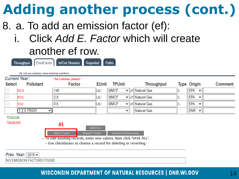- <span id="page-13-0"></span>8. a. To add an emission factor (ef):
	- i. Click *Add E. Factor* which will create another ef row.

|               | <b>Current Year:</b> | * No Commas, please! *                                                                                                                   |                  |                                |   |                         |   |                            |                |
|---------------|----------------------|------------------------------------------------------------------------------------------------------------------------------------------|------------------|--------------------------------|---|-------------------------|---|----------------------------|----------------|
| <b>Select</b> | <b>Pollutant</b>     | Factor                                                                                                                                   | <b>EUnit</b>     | <b>TPUnit</b>                  |   | <b>Throughput</b>       |   | <b>Type Origin</b>         | <b>Comment</b> |
|               | <b>NOX</b>           | 140                                                                                                                                      | LB/              | <b>MMCF</b>                    |   | ▼ of Natural Gas        | G | <b>EPA</b><br>$\checkmark$ |                |
|               | <b>ROG</b>           | 2.8                                                                                                                                      | LB/              | <b>MMCF</b>                    |   | ∨ <i>of</i> Natural Gas | C | <b>EPA</b><br>$\checkmark$ |                |
|               | SO <sub>2</sub>      | 0.6                                                                                                                                      | LB/              | <b>MMCF</b>                    |   | ▼ of Natural Gas        | C | <b>EPA</b><br>$\checkmark$ |                |
|               | $1,3,5$ TRIGIY       | v                                                                                                                                        |                  |                                | v | Natural Gas             |   | $DNR \times$               |                |
| [Finish Add]  |                      |                                                                                                                                          |                  |                                |   |                         |   |                            |                |
| [Cancel Add]  |                      | #i                                                                                                                                       |                  |                                |   |                         |   |                            |                |
|               |                      |                                                                                                                                          | <b>SAVE ALL</b>  |                                |   |                         |   |                            |                |
|               |                      | Add E. Factor                                                                                                                            | Delete E. Factor | <b>Revert to Default Value</b> |   |                         |   |                            |                |
|               |                      | ~ To edit existing records, enter new values, then click 'SAVE ALL'.<br>The chool because to choose a research for deletion or recording |                  |                                |   |                         |   |                            |                |

 $\sim$  0se checkboxes to choose a record for deleting or reverting.

Prev. Year:  $2019 \times$ 

**NO EMISSION FACTORS FOUND**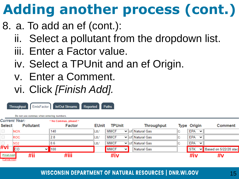- 8. a. To add an ef (cont.):
	- ii. Select a pollutant from the dropdown list.
	- iii. Enter a Factor value.
	- iv. Select a TPUnit and an ef Origin.
	- v. Enter a Comment.
	- vi. Click *[Finish Add].*

|                              | EmisFactor<br><b>Throughput</b><br>Do not use commas when entering numbers. | <b>In/Out Streams</b>            | Reported     | <b>Paths</b>                |                    |   |                              |                                        |
|------------------------------|-----------------------------------------------------------------------------|----------------------------------|--------------|-----------------------------|--------------------|---|------------------------------|----------------------------------------|
| <b>Select</b>                | <b>Current Year:</b><br><b>Pollutant</b>                                    | * No Commas, please! *<br>Factor | <b>EUnit</b> | <b>TPUnit</b>               | <b>Throughput</b>  |   | <b>Type Origin</b>           | Comment                                |
| $\Box$                       | <b>NOX</b>                                                                  | 140                              | LB/          | <b>MMCF</b>                 | ▼ of Natural Gas   | G | <b>EPA</b><br>$\checkmark$   |                                        |
| $\Box$                       | <b>ROG</b>                                                                  | 2.8                              | LB/          | <b>MMCF</b>                 | V lofl Natural Gas | G | <b>EPA</b><br>$\checkmark$   |                                        |
|                              | SO <sub>2</sub>                                                             | 0.6                              | LB/          | <b>MMCF</b>                 | V lof Natural Gas  | G | <b>EPA</b><br>$\checkmark$   |                                        |
| #vi                          | $\overline{\text{co}}$<br>◡                                                 | 100                              |              | <b>MMCF</b><br>$\checkmark$ | <b>Natural Gas</b> |   | $\overline{\phantom{a}}$ STK | $\triangleright$ Based on 5/22/20 stac |
| [Finish Add]<br>[Cancel Add] | #ii                                                                         | #iii                             |              | #iv                         |                    |   | #iv                          | #v                                     |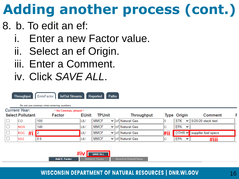#### <span id="page-15-0"></span>8. b. To edit an ef:

- i. Enter a new Factor value.
- ii. Select an ef Origin.
- iii. Enter a Comment.
- iv. Click *SAVE ALL*.

| EmisFactor<br>Reported<br><b>In/Out Streams</b><br><b>Paths</b><br><b>Throughput</b><br>Do not use commas when entering numbers. |        |              |               |  |                                 |     |                    |              |                            |
|----------------------------------------------------------------------------------------------------------------------------------|--------|--------------|---------------|--|---------------------------------|-----|--------------------|--------------|----------------------------|
| <b>Current Year:</b><br>* No Commas, please! *                                                                                   |        |              |               |  |                                 |     |                    |              |                            |
| <b>Select Pollutant</b>                                                                                                          | Factor | <b>EUnit</b> | <b>TPUnit</b> |  | <b>Throughput</b>               |     | <b>Type Origin</b> |              | <b>Comment</b>             |
| <b>CO</b>                                                                                                                        | 100    | LB/          | <b>MMCF</b>   |  | $\vee$ of Natural Gas           |     | <b>STK</b>         |              | $\vee$ 5/20/20 stack test  |
| <b>NOX</b>                                                                                                                       | 140    | LB/          | <b>MMCF</b>   |  | $\vee$ $\ $ of $\ $ Natural Gas | G   | <b>EPA</b>         | $\checkmark$ |                            |
| #i<br>ROG                                                                                                                        | כי     | LB/          | <b>MMCF</b>   |  | $\vee$ $\ $ of $\ $ Natural Gas | #ii |                    |              | OTHR V supplier fuel specs |
| SO <sub>2</sub>                                                                                                                  | 0.6    | LB/          | <b>MMCF</b>   |  | $\vee$ of Natural Gas           | G   | <b>EPA</b>         | $\checkmark$ | #iii                       |

**#ivSAVE ALL Add E. Factor** 

**Revert to Default Value**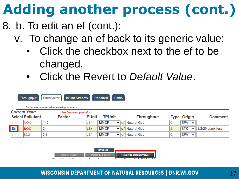- 8. b. To edit an ef (cont.):
	- v. To change an ef back to its generic value:
		- Click the checkbox next to the ef to be changed.
		- Click the Revert to *Default Value*.

|   | EmisFactor<br><b>In/Out Streams</b><br>Reported<br><b>Paths</b><br><b>Throughput</b><br>Do not use commas when entering numbers.                                           |                 |     |     |                      |  |                  |    |            |              |                   |
|---|----------------------------------------------------------------------------------------------------------------------------------------------------------------------------|-----------------|-----|-----|----------------------|--|------------------|----|------------|--------------|-------------------|
|   | <b>Current Year:</b><br>* No Commas, please! *<br><b>Select Pollutant</b><br><b>TPUnit</b><br><b>Throughput</b><br><b>EUnit</b><br><b>Type Origin</b><br>Comment<br>Factor |                 |     |     |                      |  |                  |    |            |              |                   |
|   |                                                                                                                                                                            | <b>NOX</b>      | 140 | LB/ | <b>MMCF</b>          |  | Vof Natural Gas  | IG | <b>EPA</b> | ∼∥           |                   |
| ø |                                                                                                                                                                            | <b>ROG</b>      | 2   | LB/ | <b>MMCF</b>          |  | V of Natural Gas |    | <b>STK</b> | び⊪           | 5/2/20 stack test |
|   |                                                                                                                                                                            | SO <sub>2</sub> | 0.6 | LB/ | MMCF<br>$\checkmark$ |  | ∥of∥Natural Gas  | IG | EPA        | $\checkmark$ |                   |

|               | <b>SAVE ALL</b>  |                                                                                     |
|---------------|------------------|-------------------------------------------------------------------------------------|
| Add E. Factor | Delete E. Factor | <b>Revert to Default Value</b>                                                      |
|               |                  | the collectively concerned to accommodate and control and controlled the same start |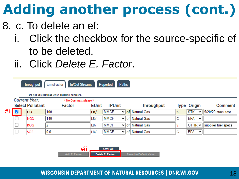- <span id="page-17-0"></span>8. c. To delete an ef:
	- Click the checkbox for the source-specific ef to be deleted.
	- ii. Click *Delete E. Factor*.

|    |  | EmisFactor<br><b>In/Out Streams</b><br>Reported<br><b>Paths</b><br><b>Throughput</b><br>Do not use commas when entering numbers. |        |                        |                               |  |                                 |    |                            |                     |
|----|--|----------------------------------------------------------------------------------------------------------------------------------|--------|------------------------|-------------------------------|--|---------------------------------|----|----------------------------|---------------------|
|    |  | <b>Current Year:</b>                                                                                                             |        | * No Commas, please! * |                               |  |                                 |    |                            |                     |
|    |  | <b>Select Pollutant</b>                                                                                                          | Factor |                        | <b>TPUnit</b><br><b>EUnit</b> |  | <b>Throughput</b>               |    | Type Origin                | <b>Comment</b>      |
| #i |  | <b>CO</b>                                                                                                                        | 100    | LB/                    | <b>MMCF</b>                   |  | ∨ of Natural Gas                |    | <b>STK</b><br>$\checkmark$ | 5/20/20 stack test  |
|    |  | <b>NOX</b>                                                                                                                       | 140    | LB/                    | <b>MMCF</b>                   |  | $\vee$ of Natural Gas           | G  | <b>EPA</b><br>$\checkmark$ |                     |
|    |  | <b>ROG</b>                                                                                                                       |        | LB/                    | <b>MMCF</b>                   |  | $\vee$ $\ $ of $\ $ Natural Gas |    | OTHR $\vee$                | supplier fuel specs |
|    |  | SO <sub>2</sub>                                                                                                                  | 0.6    | LB/                    | <b>MMCF</b>                   |  | $\vee$ of Natural Gas           | IG | EPA<br>$\checkmark$        |                     |

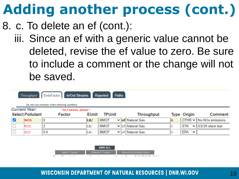- 8. c. To delete an ef (cont.):
	- iii. Since an ef with a generic value cannot be deleted, revise the ef value to zero. Be sure to include a comment or the change will not be saved.

| EmisFactor<br><b>In/Out Streams</b><br>Reported<br><b>Paths</b><br><b>Throughput</b> |                      |                                                                    |                               |             |  |                                 |    |                                         |                         |
|--------------------------------------------------------------------------------------|----------------------|--------------------------------------------------------------------|-------------------------------|-------------|--|---------------------------------|----|-----------------------------------------|-------------------------|
|                                                                                      | <b>Current Year:</b> | Do not use commas when entering numbers.<br>* No Commas, please! * |                               |             |  |                                 |    |                                         |                         |
| <b>Select Pollutant</b><br>Factor                                                    |                      |                                                                    | <b>EUnit</b><br><b>TPUnit</b> |             |  | <b>Throughput</b>               |    | <b>Type Origin</b>                      | <b>Comment</b>          |
| ∨                                                                                    | <b>NOX</b>           | 10                                                                 | ∥LB/                          | <b>MMCF</b> |  | v of Natural Gas                | G  |                                         | OTHR v No NOx emissions |
|                                                                                      | <b>ROG</b>           |                                                                    | LB/                           | <b>MMCF</b> |  | $\vee$ $\ $ of $\ $ Natural Gas |    | <b>STK</b><br>$\mathbf{v}$ $\mathbf{r}$ | 5/2/20 stack test       |
|                                                                                      | SO <sub>2</sub>      | 0.6                                                                | LB/                           | <b>MMCF</b> |  | $\vee$    of    Natural Gas     | ΙG | EPA<br>$\checkmark$                     |                         |

| Add E. Factor     | Delete E. Factor | <b>Revert to Default Value</b>                |
|-------------------|------------------|-----------------------------------------------|
| .<br>$\mathbf{r}$ |                  | <b>All Allin Address Address</b><br>$\sim$ 1. |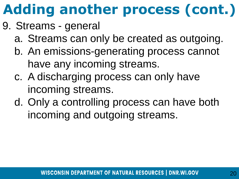- <span id="page-19-0"></span>9. Streams - general
	- a. Streams can only be created as outgoing.
	- b. An emissions-generating process cannot have any incoming streams.
	- c. A discharging process can only have incoming streams.
	- d. Only a controlling process can have both incoming and outgoing streams.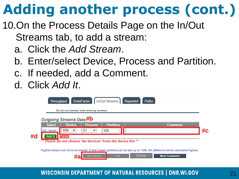- <span id="page-20-0"></span>10.On the Process Details Page on the In/Out Streams tab, to add a stream:
	- a. Click the *Add Stream*.
	- b. Enter/select Device, Process and Partition.
	- c. If needed, add a Comment.
	- d. Click *Add It*.

|    | <b>EmisFactor</b><br>In/Out Streams<br>Reported<br><b>Throughput</b><br><b>Paths</b><br>Do not use commas when entering numbers.<br>Outgoing Streams Data #b                                                                                                                                         |  |                                                                  |  |         |  |  |  |
|----|------------------------------------------------------------------------------------------------------------------------------------------------------------------------------------------------------------------------------------------------------------------------------------------------------|--|------------------------------------------------------------------|--|---------|--|--|--|
| #d | <b>Device</b><br><b>Select</b><br>S <sub>09</sub><br>Add Cancel<br>$\checkmark$<br><b>Add It</b><br>Cancel                                                                                                                                                                                           |  | <b>Partition</b><br><b>Process</b><br>01<br> 100<br>$\checkmark$ |  | Comment |  |  |  |
|    | <sup>88</sup> Please do not choose 'No Devices' from the device list **<br>Fugitive streams are not to be entered. If total stream partitions do not add up to 100%, the difference will be considered fugitive.<br><b>Delete</b><br><b>Add Stream</b><br><b>Edit</b><br><b>Mark Completed</b><br>#8 |  |                                                                  |  |         |  |  |  |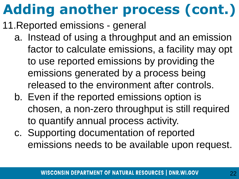- <span id="page-21-0"></span>11.Reported emissions - general
	- a. Instead of using a throughput and an emission factor to calculate emissions, a facility may opt to use reported emissions by providing the emissions generated by a process being released to the environment after controls.
	- b. Even if the reported emissions option is chosen, a non-zero throughput is still required to quantify annual process activity.
	- c. Supporting documentation of reported emissions needs to be available upon request.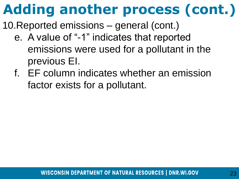- 10.Reported emissions general (cont.)
	- e. A value of "-1" indicates that reported emissions were used for a pollutant in the previous EI.
	- f. EF column indicates whether an emission factor exists for a pollutant.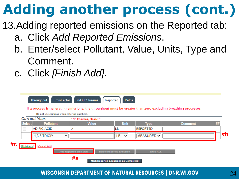- <span id="page-23-0"></span>13.Adding reported emissions on the Reported tab:
	- a. Click *Add Reported Emissions*.
	- b. Enter/select Pollutant, Value, Units, Type and Comment.
	- c. Click *[Finish Add].*

|               | <b>EmisFactor</b><br><b>Throughput</b>                                                                             | <b>In/Out Streams</b>  | Reported | <b>Paths</b>                                |                 | If a process is generating emissions, the throughput must be greater than zero excluding breathing processes. |           |  |  |  |
|---------------|--------------------------------------------------------------------------------------------------------------------|------------------------|----------|---------------------------------------------|-----------------|---------------------------------------------------------------------------------------------------------------|-----------|--|--|--|
|               | Do not use commas when entering numbers.<br><b>Current Year:</b>                                                   | * No Commas, please! * |          |                                             |                 |                                                                                                               |           |  |  |  |
| <b>Select</b> | <b>Pollutant</b>                                                                                                   | <b>Value</b>           |          | <b>Unit</b>                                 | <b>Type</b>     | <b>Comment</b>                                                                                                | <b>EF</b> |  |  |  |
| □             | <b>ADIPIC ACID</b>                                                                                                 |                        |          | LВ                                          | <b>REPORTED</b> |                                                                                                               |           |  |  |  |
|               | 1.3.5 TRIGIY<br>$\checkmark$                                                                                       |                        |          | LВ<br>$\checkmark$                          | MEASURED $\sim$ |                                                                                                               | #b        |  |  |  |
| #c            | [Cancel Add]<br>[Finish Add]<br><b>Add Reported Emission</b><br><b>Delete Reported Emission</b><br><b>SAVE ALL</b> |                        |          |                                             |                 |                                                                                                               |           |  |  |  |
|               |                                                                                                                    | #a                     |          | <b>Mark Reported Emissions as Completed</b> |                 |                                                                                                               |           |  |  |  |